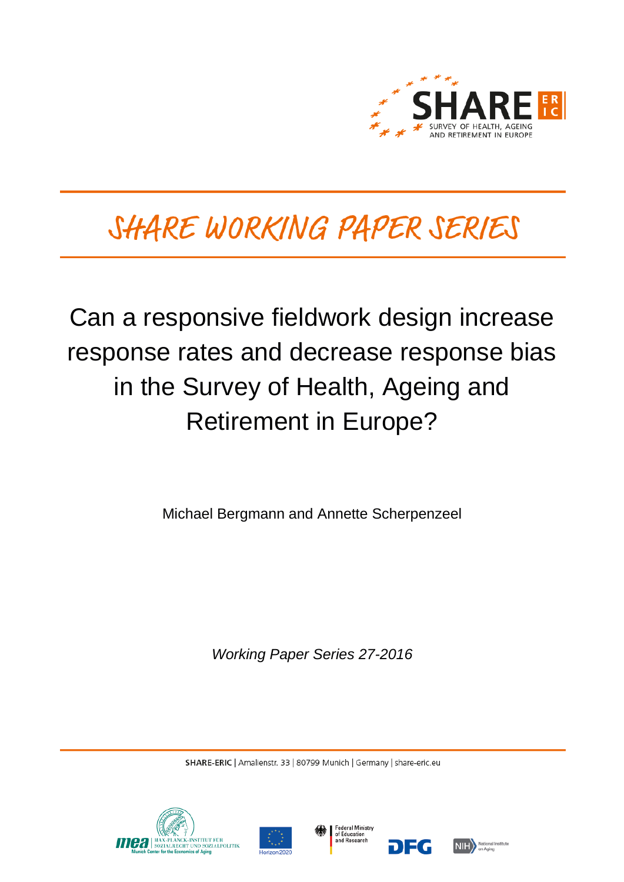

# SHARE WORKING PAPER SERIES

# Can a responsive fieldwork design increase response rates and decrease response bias in the Survey of Health, Ageing and Retirement in Europe?

Michael Bergmann and Annette Scherpenzeel

*Working Paper Series 27-2016*

SHARE-ERIC | Amalienstr. 33 | 80799 Munich | Germany | share-eric.eu







DEG

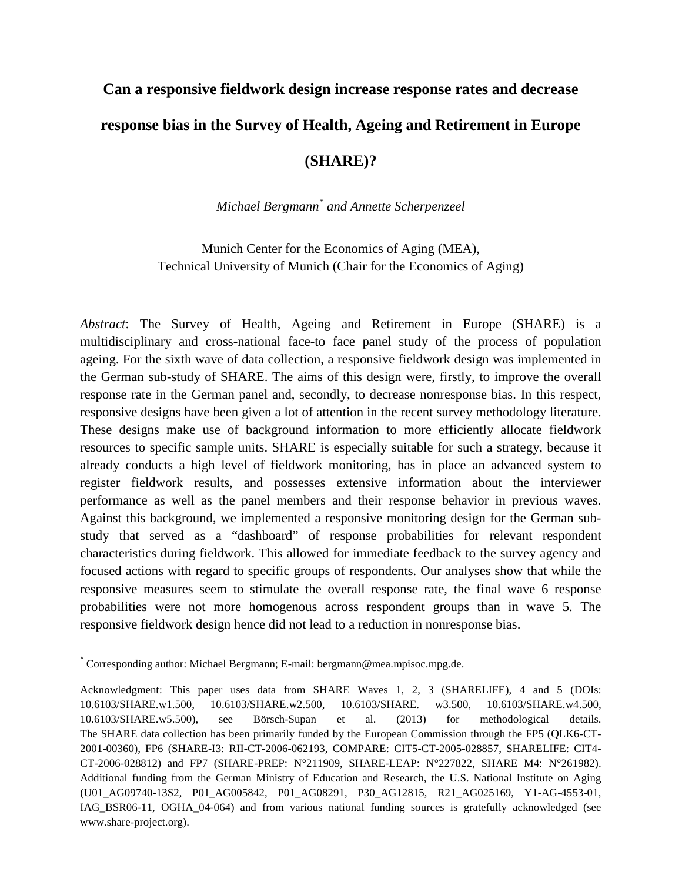## **Can a responsive fieldwork design increase response rates and decrease response bias in the Survey of Health, Ageing and Retirement in Europe**

### **(SHARE)?**

### *Michael Bergmann\* and Annette Scherpenzeel*

Munich Center for the Economics of Aging (MEA), Technical University of Munich (Chair for the Economics of Aging)

*Abstract*: The Survey of Health, Ageing and Retirement in Europe (SHARE) is a multidisciplinary and cross-national face-to face panel study of the process of population ageing. For the sixth wave of data collection, a responsive fieldwork design was implemented in the German sub-study of SHARE. The aims of this design were, firstly, to improve the overall response rate in the German panel and, secondly, to decrease nonresponse bias. In this respect, responsive designs have been given a lot of attention in the recent survey methodology literature. These designs make use of background information to more efficiently allocate fieldwork resources to specific sample units. SHARE is especially suitable for such a strategy, because it already conducts a high level of fieldwork monitoring, has in place an advanced system to register fieldwork results, and possesses extensive information about the interviewer performance as well as the panel members and their response behavior in previous waves. Against this background, we implemented a responsive monitoring design for the German substudy that served as a "dashboard" of response probabilities for relevant respondent characteristics during fieldwork. This allowed for immediate feedback to the survey agency and focused actions with regard to specific groups of respondents. Our analyses show that while the responsive measures seem to stimulate the overall response rate, the final wave 6 response probabilities were not more homogenous across respondent groups than in wave 5. The responsive fieldwork design hence did not lead to a reduction in nonresponse bias.

\* Corresponding author: Michael Bergmann; E-mail: bergmann@mea.mpisoc.mpg.de.

Acknowledgment: This paper uses data from SHARE Waves 1, 2, 3 (SHARELIFE), 4 and 5 (DOIs: 10.6103/SHARE.w1.500, 10.6103/SHARE.w2.500, 10.6103/SHARE. w3.500, 10.6103/SHARE.w4.500, 10.6103/SHARE.w5.500), see Börsch-Supan et al. (2013) for methodological details. The SHARE data collection has been primarily funded by the European Commission through the FP5 (QLK6-CT-2001-00360), FP6 (SHARE-I3: RII-CT-2006-062193, COMPARE: CIT5-CT-2005-028857, SHARELIFE: CIT4- CT-2006-028812) and FP7 (SHARE-PREP: N°211909, SHARE-LEAP: N°227822, SHARE M4: N°261982). Additional funding from the German Ministry of Education and Research, the U.S. National Institute on Aging (U01\_AG09740-13S2, P01\_AG005842, P01\_AG08291, P30\_AG12815, R21\_AG025169, Y1-AG-4553-01, IAG\_BSR06-11, OGHA\_04-064) and from various national funding sources is gratefully acknowledged (see www.share-project.org).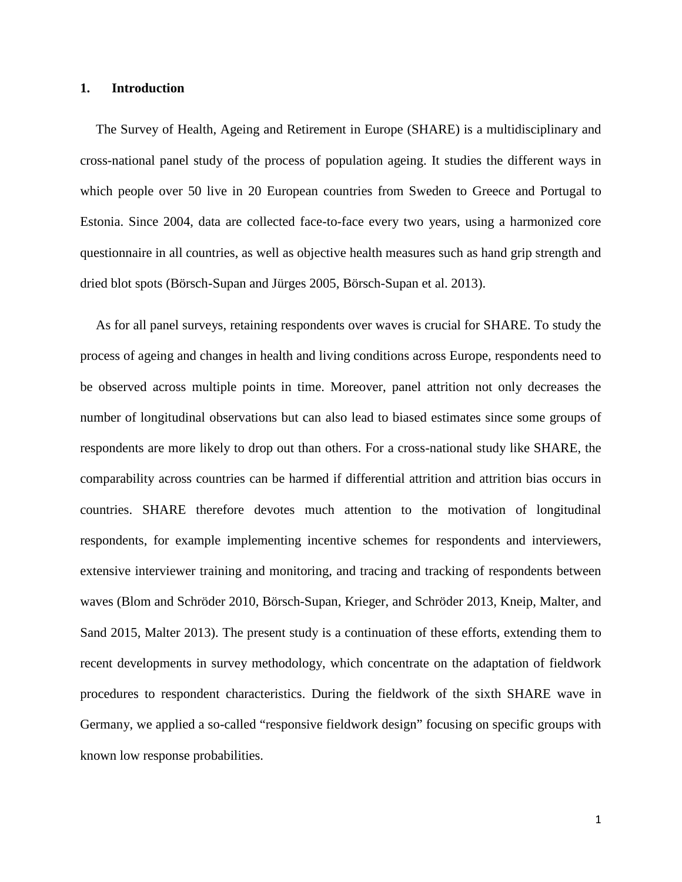#### **1. Introduction**

The Survey of Health, Ageing and Retirement in Europe (SHARE) is a multidisciplinary and cross-national panel study of the process of population ageing. It studies the different ways in which people over 50 live in 20 European countries from Sweden to Greece and Portugal to Estonia. Since 2004, data are collected face-to-face every two years, using a harmonized core questionnaire in all countries, as well as objective health measures such as hand grip strength and dried blot spots [\(Börsch-Supan and Jürges 2005,](#page-24-0) [Börsch-Supan et al. 2013\)](#page-24-1).

As for all panel surveys, retaining respondents over waves is crucial for SHARE. To study the process of ageing and changes in health and living conditions across Europe, respondents need to be observed across multiple points in time. Moreover, panel attrition not only decreases the number of longitudinal observations but can also lead to biased estimates since some groups of respondents are more likely to drop out than others. For a cross-national study like SHARE, the comparability across countries can be harmed if differential attrition and attrition bias occurs in countries. SHARE therefore devotes much attention to the motivation of longitudinal respondents, for example implementing incentive schemes for respondents and interviewers, extensive interviewer training and monitoring, and tracing and tracking of respondents between waves [\(Blom and Schröder 2010,](#page-24-2) [Börsch-Supan, Krieger, and Schröder 2013,](#page-24-3) [Kneip, Malter, and](#page-25-0)  [Sand 2015,](#page-25-0) [Malter 2013\)](#page-26-0). The present study is a continuation of these efforts, extending them to recent developments in survey methodology, which concentrate on the adaptation of fieldwork procedures to respondent characteristics. During the fieldwork of the sixth SHARE wave in Germany, we applied a so-called "responsive fieldwork design" focusing on specific groups with known low response probabilities.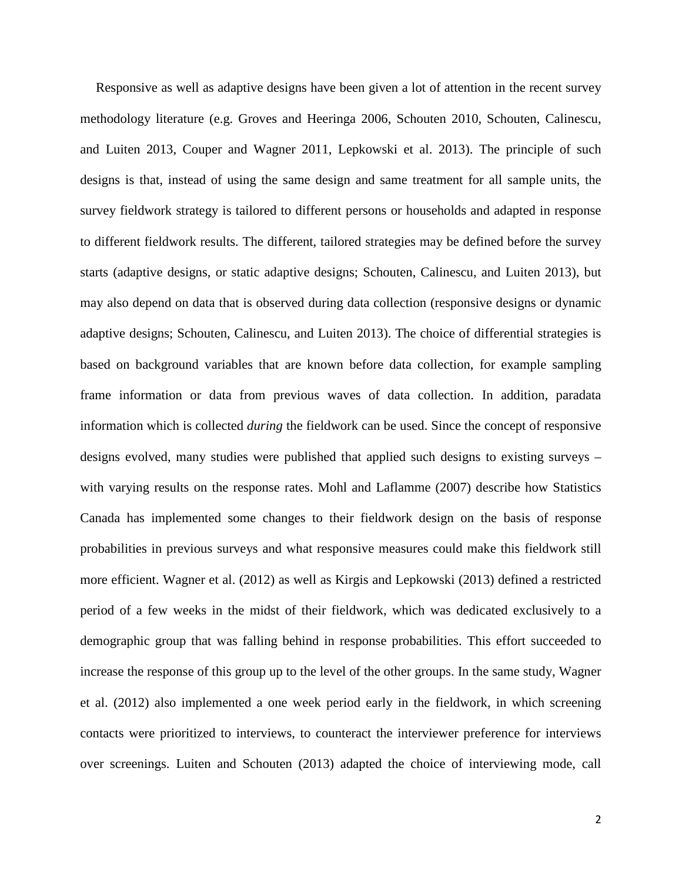Responsive as well as adaptive designs have been given a lot of attention in the recent survey methodology literature (e.g. [Groves and Heeringa 2006,](#page-25-1) [Schouten 2010,](#page-26-1) [Schouten, Calinescu,](#page-26-2)  [and Luiten 2013,](#page-26-2) [Couper and Wagner 2011,](#page-24-4) [Lepkowski et al. 2013\)](#page-25-2). The principle of such designs is that, instead of using the same design and same treatment for all sample units, the survey fieldwork strategy is tailored to different persons or households and adapted in response to different fieldwork results. The different, tailored strategies may be defined before the survey starts [\(adaptive designs, or static adaptive designs; Schouten, Calinescu, and Luiten 2013\)](#page-26-2), but may also depend on data that is observed during data collection [\(responsive designs or dynamic](#page-26-2)  [adaptive designs; Schouten, Calinescu, and Luiten 2013\)](#page-26-2). The choice of differential strategies is based on background variables that are known before data collection, for example sampling frame information or data from previous waves of data collection. In addition, paradata information which is collected *during* the fieldwork can be used. Since the concept of responsive designs evolved, many studies were published that applied such designs to existing surveys – with varying results on the response rates. Mohl and Laflamme [\(2007\)](#page-26-3) describe how Statistics Canada has implemented some changes to their fieldwork design on the basis of response probabilities in previous surveys and what responsive measures could make this fieldwork still more efficient. Wagner et al. [\(2012\)](#page-27-0) as well as Kirgis and Lepkowski [\(2013\)](#page-25-3) defined a restricted period of a few weeks in the midst of their fieldwork, which was dedicated exclusively to a demographic group that was falling behind in response probabilities. This effort succeeded to increase the response of this group up to the level of the other groups. In the same study, Wagner et al. [\(2012\)](#page-27-0) also implemented a one week period early in the fieldwork, in which screening contacts were prioritized to interviews, to counteract the interviewer preference for interviews over screenings. Luiten and Schouten [\(2013\)](#page-25-4) adapted the choice of interviewing mode, call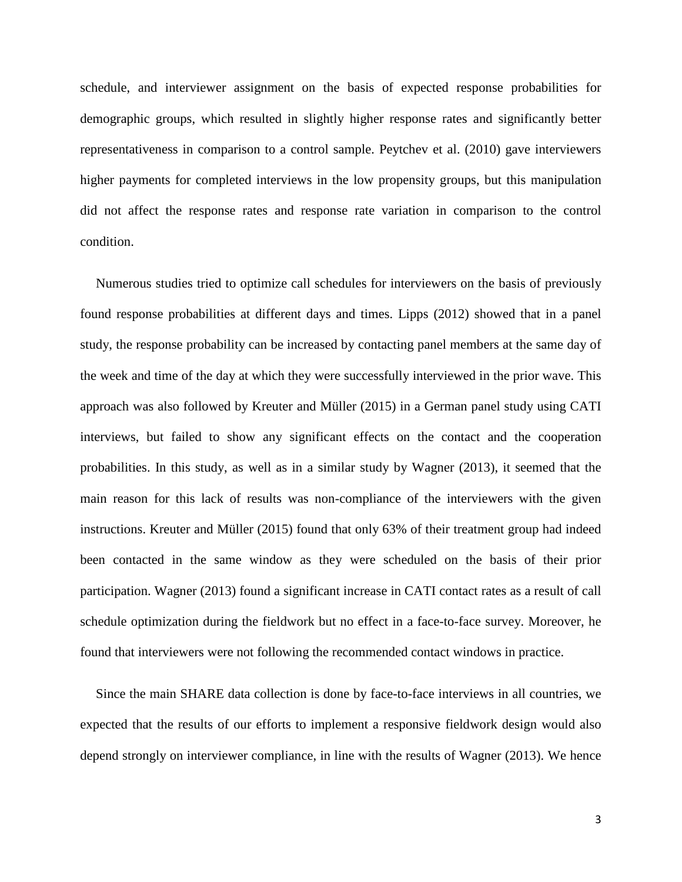schedule, and interviewer assignment on the basis of expected response probabilities for demographic groups, which resulted in slightly higher response rates and significantly better representativeness in comparison to a control sample. Peytchev et al. [\(2010\)](#page-26-4) gave interviewers higher payments for completed interviews in the low propensity groups, but this manipulation did not affect the response rates and response rate variation in comparison to the control condition.

Numerous studies tried to optimize call schedules for interviewers on the basis of previously found response probabilities at different days and times. Lipps [\(2012\)](#page-25-5) showed that in a panel study, the response probability can be increased by contacting panel members at the same day of the week and time of the day at which they were successfully interviewed in the prior wave. This approach was also followed by Kreuter and Müller [\(2015\)](#page-25-6) in a German panel study using CATI interviews, but failed to show any significant effects on the contact and the cooperation probabilities. In this study, as well as in a similar study by Wagner [\(2013\)](#page-27-1), it seemed that the main reason for this lack of results was non-compliance of the interviewers with the given instructions. Kreuter and Müller [\(2015\)](#page-25-6) found that only 63% of their treatment group had indeed been contacted in the same window as they were scheduled on the basis of their prior participation. Wagner [\(2013\)](#page-27-1) found a significant increase in CATI contact rates as a result of call schedule optimization during the fieldwork but no effect in a face-to-face survey. Moreover, he found that interviewers were not following the recommended contact windows in practice.

Since the main SHARE data collection is done by face-to-face interviews in all countries, we expected that the results of our efforts to implement a responsive fieldwork design would also depend strongly on interviewer compliance, in line with the results of Wagner [\(2013\)](#page-27-1). We hence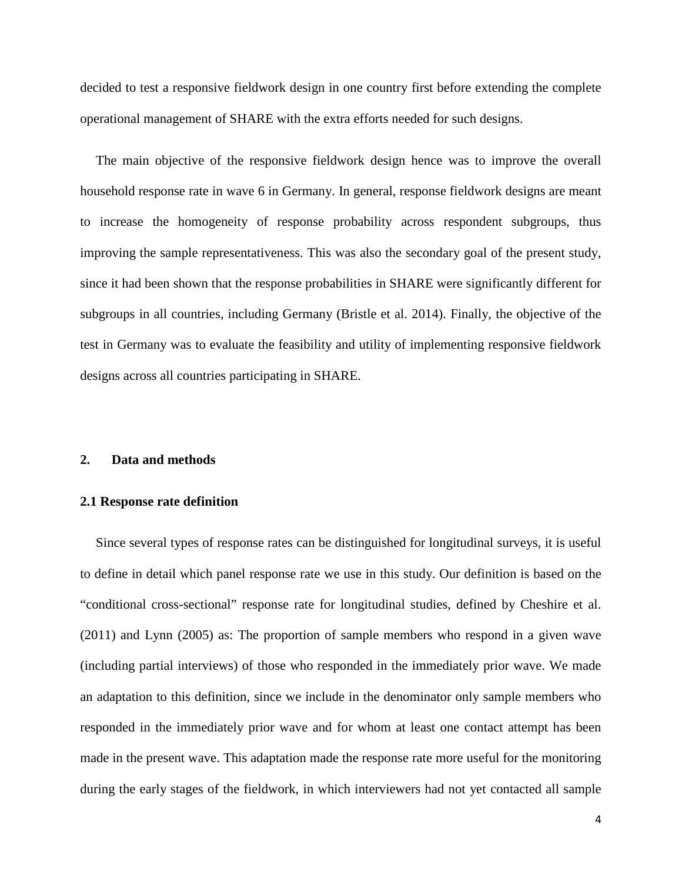decided to test a responsive fieldwork design in one country first before extending the complete operational management of SHARE with the extra efforts needed for such designs.

The main objective of the responsive fieldwork design hence was to improve the overall household response rate in wave 6 in Germany. In general, response fieldwork designs are meant to increase the homogeneity of response probability across respondent subgroups, thus improving the sample representativeness. This was also the secondary goal of the present study, since it had been shown that the response probabilities in SHARE were significantly different for subgroups in all countries, including Germany [\(Bristle et al. 2014\)](#page-24-5). Finally, the objective of the test in Germany was to evaluate the feasibility and utility of implementing responsive fieldwork designs across all countries participating in SHARE.

#### **2. Data and methods**

#### **2.1 Response rate definition**

Since several types of response rates can be distinguished for longitudinal surveys, it is useful to define in detail which panel response rate we use in this study. Our definition is based on the "conditional cross-sectional" response rate for longitudinal studies, defined by Cheshire et al. [\(2011\)](#page-24-6) and Lynn [\(2005\)](#page-26-5) as: The proportion of sample members who respond in a given wave (including partial interviews) of those who responded in the immediately prior wave. We made an adaptation to this definition, since we include in the denominator only sample members who responded in the immediately prior wave and for whom at least one contact attempt has been made in the present wave. This adaptation made the response rate more useful for the monitoring during the early stages of the fieldwork, in which interviewers had not yet contacted all sample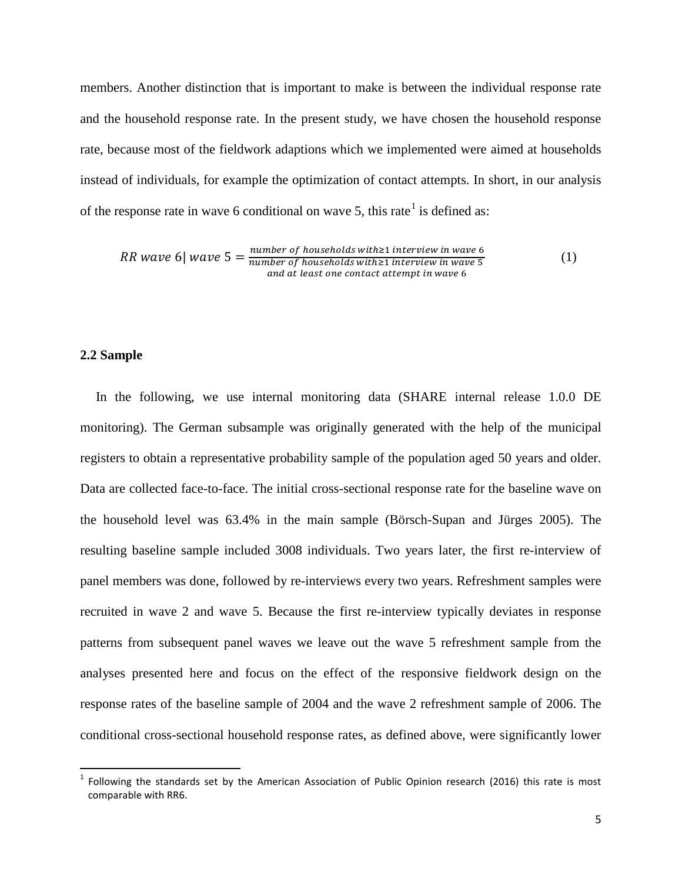members. Another distinction that is important to make is between the individual response rate and the household response rate. In the present study, we have chosen the household response rate, because most of the fieldwork adaptions which we implemented were aimed at households instead of individuals, for example the optimization of contact attempts. In short, in our analysis of the response rate in wave 6 conditional on wave 5, this rate<sup>[1](#page-6-0)</sup> is defined as:

$$
RR\ wave\ 6|\ wave\ 5 = \frac{number\ of\ households\ with \ge 1\ interview\ in\ wave\ 6}{number\ of\ households\ with \ge 1\ interview\ in\ wave\ 5}
$$
\n
$$
and\ at\ least\ one\ contact\ attempt\ in\ wave\ 6
$$

#### **2.2 Sample**

In the following, we use internal monitoring data (SHARE internal release 1.0.0 DE monitoring). The German subsample was originally generated with the help of the municipal registers to obtain a representative probability sample of the population aged 50 years and older. Data are collected face-to-face. The initial cross-sectional response rate for the baseline wave on the household level was 63.4% in the main sample [\(Börsch-Supan and Jürges 2005\)](#page-24-0). The resulting baseline sample included 3008 individuals. Two years later, the first re-interview of panel members was done, followed by re-interviews every two years. Refreshment samples were recruited in wave 2 and wave 5. Because the first re-interview typically deviates in response patterns from subsequent panel waves we leave out the wave 5 refreshment sample from the analyses presented here and focus on the effect of the responsive fieldwork design on the response rates of the baseline sample of 2004 and the wave 2 refreshment sample of 2006. The conditional cross-sectional household response rates, as defined above, were significantly lower

<span id="page-6-0"></span> $1$  Following the standards set by the American Association of Public Opinion research (2016) this rate is most comparable with RR6.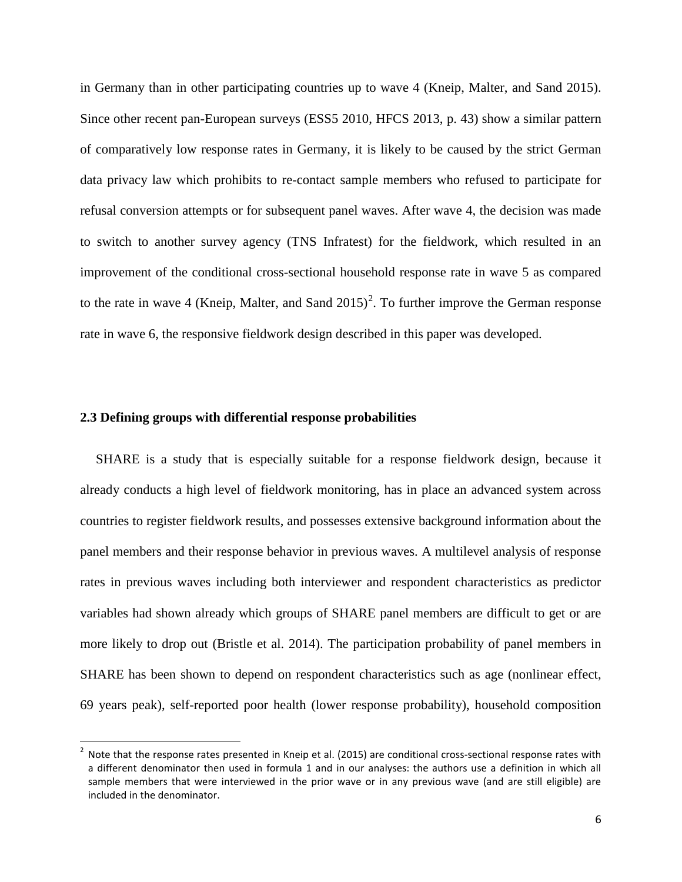in Germany than in other participating countries up to wave 4 [\(Kneip, Malter, and Sand 2015\)](#page-25-0). Since other recent pan-European surveys [\(ESS5 2010,](#page-24-7) [HFCS 2013, p. 43\)](#page-25-7) show a similar pattern of comparatively low response rates in Germany, it is likely to be caused by the strict German data privacy law which prohibits to re-contact sample members who refused to participate for refusal conversion attempts or for subsequent panel waves. After wave 4, the decision was made to switch to another survey agency (TNS Infratest) for the fieldwork, which resulted in an improvement of the conditional cross-sectional household response rate in wave 5 as compared to the rate in wave 4 (Kneip, Malter, and Sand  $2015$  $2015$ )<sup>2</sup>. To further improve the German response rate in wave 6, the responsive fieldwork design described in this paper was developed.

#### **2.3 Defining groups with differential response probabilities**

SHARE is a study that is especially suitable for a response fieldwork design, because it already conducts a high level of fieldwork monitoring, has in place an advanced system across countries to register fieldwork results, and possesses extensive background information about the panel members and their response behavior in previous waves. A multilevel analysis of response rates in previous waves including both interviewer and respondent characteristics as predictor variables had shown already which groups of SHARE panel members are difficult to get or are more likely to drop out [\(Bristle et al. 2014\)](#page-24-5). The participation probability of panel members in SHARE has been shown to depend on respondent characteristics such as age (nonlinear effect, 69 years peak), self-reported poor health (lower response probability), household composition

<span id="page-7-0"></span> $2$  Note that the response rates presented in Kneip et al. (2015) are conditional cross-sectional response rates with a different denominator then used in formula 1 and in our analyses: the authors use a definition in which all sample members that were interviewed in the prior wave or in any previous wave (and are still eligible) are included in the denominator.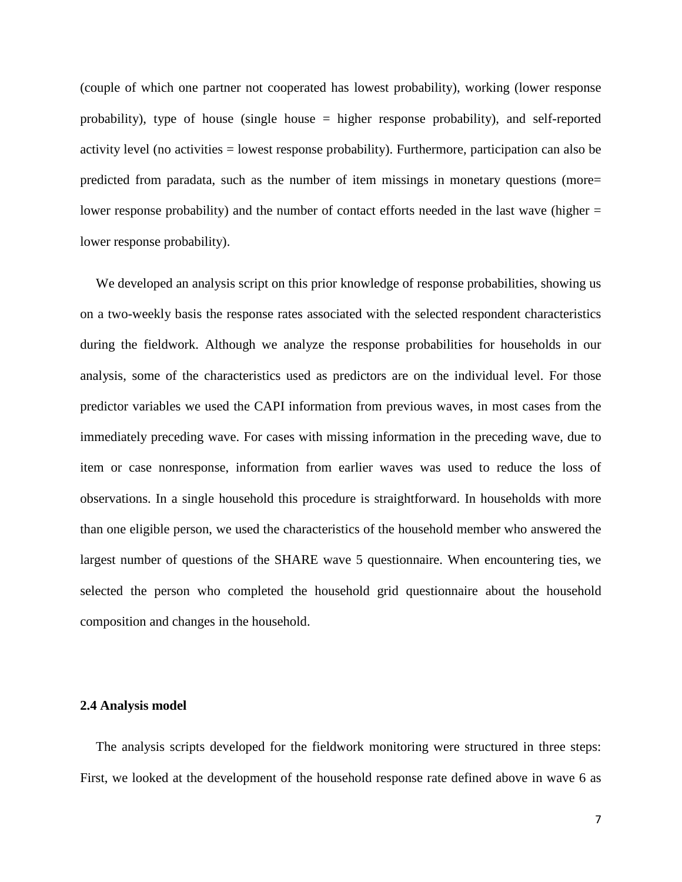(couple of which one partner not cooperated has lowest probability), working (lower response probability), type of house (single house = higher response probability), and self-reported activity level (no activities = lowest response probability). Furthermore, participation can also be predicted from paradata, such as the number of item missings in monetary questions (more= lower response probability) and the number of contact efforts needed in the last wave (higher = lower response probability).

We developed an analysis script on this prior knowledge of response probabilities, showing us on a two-weekly basis the response rates associated with the selected respondent characteristics during the fieldwork. Although we analyze the response probabilities for households in our analysis, some of the characteristics used as predictors are on the individual level. For those predictor variables we used the CAPI information from previous waves, in most cases from the immediately preceding wave. For cases with missing information in the preceding wave, due to item or case nonresponse, information from earlier waves was used to reduce the loss of observations. In a single household this procedure is straightforward. In households with more than one eligible person, we used the characteristics of the household member who answered the largest number of questions of the SHARE wave 5 questionnaire. When encountering ties, we selected the person who completed the household grid questionnaire about the household composition and changes in the household.

#### **2.4 Analysis model**

The analysis scripts developed for the fieldwork monitoring were structured in three steps: First, we looked at the development of the household response rate defined above in wave 6 as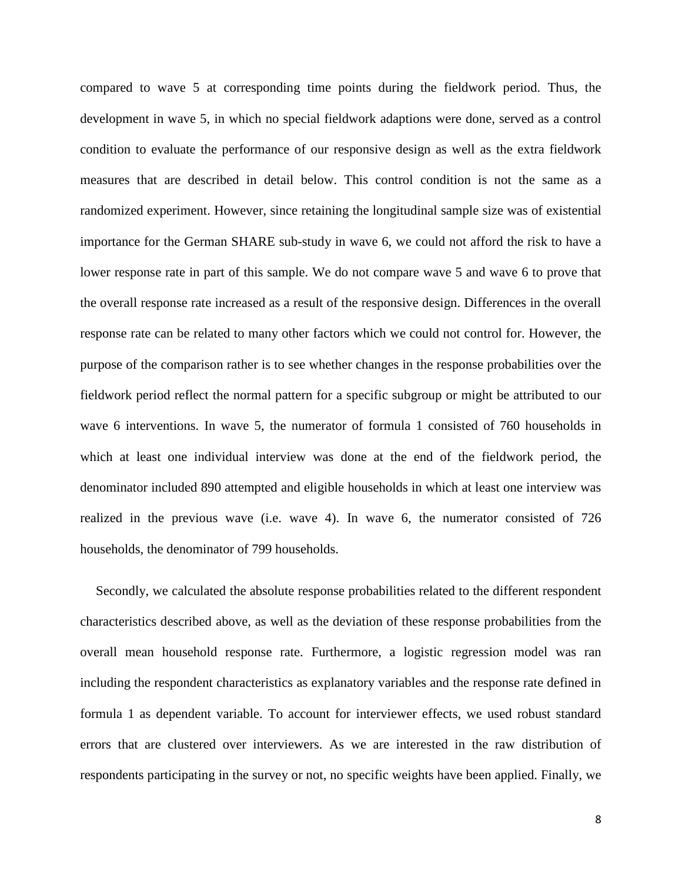compared to wave 5 at corresponding time points during the fieldwork period. Thus, the development in wave 5, in which no special fieldwork adaptions were done, served as a control condition to evaluate the performance of our responsive design as well as the extra fieldwork measures that are described in detail below. This control condition is not the same as a randomized experiment. However, since retaining the longitudinal sample size was of existential importance for the German SHARE sub-study in wave 6, we could not afford the risk to have a lower response rate in part of this sample. We do not compare wave 5 and wave 6 to prove that the overall response rate increased as a result of the responsive design. Differences in the overall response rate can be related to many other factors which we could not control for. However, the purpose of the comparison rather is to see whether changes in the response probabilities over the fieldwork period reflect the normal pattern for a specific subgroup or might be attributed to our wave 6 interventions. In wave 5, the numerator of formula 1 consisted of 760 households in which at least one individual interview was done at the end of the fieldwork period, the denominator included 890 attempted and eligible households in which at least one interview was realized in the previous wave (i.e. wave 4). In wave 6, the numerator consisted of 726 households, the denominator of 799 households.

Secondly, we calculated the absolute response probabilities related to the different respondent characteristics described above, as well as the deviation of these response probabilities from the overall mean household response rate. Furthermore, a logistic regression model was ran including the respondent characteristics as explanatory variables and the response rate defined in formula 1 as dependent variable. To account for interviewer effects, we used robust standard errors that are clustered over interviewers. As we are interested in the raw distribution of respondents participating in the survey or not, no specific weights have been applied. Finally, we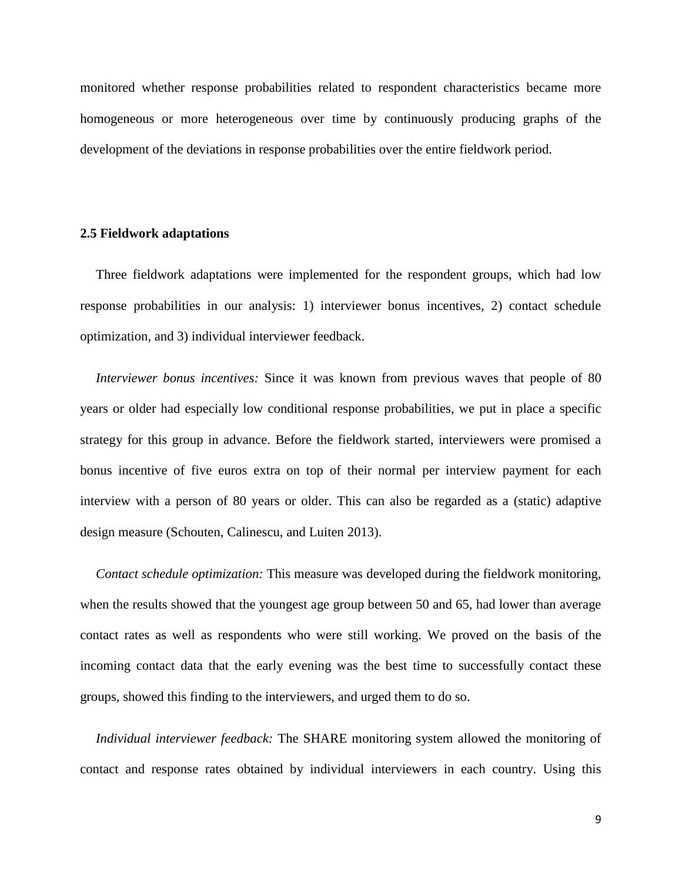monitored whether response probabilities related to respondent characteristics became more homogeneous or more heterogeneous over time by continuously producing graphs of the development of the deviations in response probabilities over the entire fieldwork period.

#### **2.5 Fieldwork adaptations**

Three fieldwork adaptations were implemented for the respondent groups, which had low response probabilities in our analysis: 1) interviewer bonus incentives, 2) contact schedule optimization, and 3) individual interviewer feedback.

*Interviewer bonus incentives:* Since it was known from previous waves that people of 80 years or older had especially low conditional response probabilities, we put in place a specific strategy for this group in advance. Before the fieldwork started, interviewers were promised a bonus incentive of five euros extra on top of their normal per interview payment for each interview with a person of 80 years or older. This can also be regarded as a (static) adaptive design measure [\(Schouten, Calinescu, and Luiten 2013\)](#page-26-2).

*Contact schedule optimization:* This measure was developed during the fieldwork monitoring, when the results showed that the youngest age group between 50 and 65, had lower than average contact rates as well as respondents who were still working. We proved on the basis of the incoming contact data that the early evening was the best time to successfully contact these groups, showed this finding to the interviewers, and urged them to do so.

*Individual interviewer feedback:* The SHARE monitoring system allowed the monitoring of contact and response rates obtained by individual interviewers in each country. Using this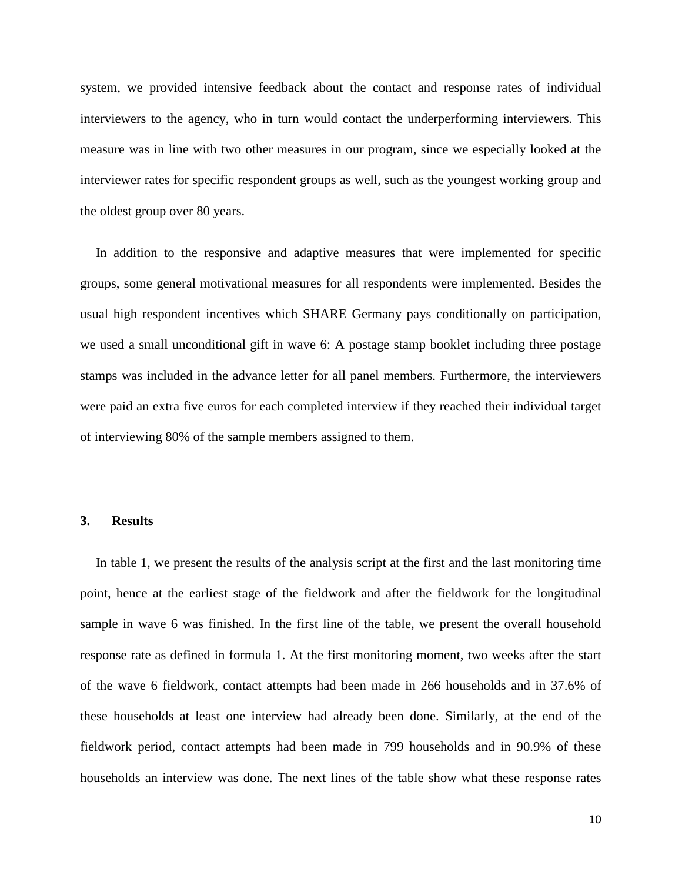system, we provided intensive feedback about the contact and response rates of individual interviewers to the agency, who in turn would contact the underperforming interviewers. This measure was in line with two other measures in our program, since we especially looked at the interviewer rates for specific respondent groups as well, such as the youngest working group and the oldest group over 80 years.

In addition to the responsive and adaptive measures that were implemented for specific groups, some general motivational measures for all respondents were implemented. Besides the usual high respondent incentives which SHARE Germany pays conditionally on participation, we used a small unconditional gift in wave 6: A postage stamp booklet including three postage stamps was included in the advance letter for all panel members. Furthermore, the interviewers were paid an extra five euros for each completed interview if they reached their individual target of interviewing 80% of the sample members assigned to them.

#### **3. Results**

In table 1, we present the results of the analysis script at the first and the last monitoring time point, hence at the earliest stage of the fieldwork and after the fieldwork for the longitudinal sample in wave 6 was finished. In the first line of the table, we present the overall household response rate as defined in formula 1. At the first monitoring moment, two weeks after the start of the wave 6 fieldwork, contact attempts had been made in 266 households and in 37.6% of these households at least one interview had already been done. Similarly, at the end of the fieldwork period, contact attempts had been made in 799 households and in 90.9% of these households an interview was done. The next lines of the table show what these response rates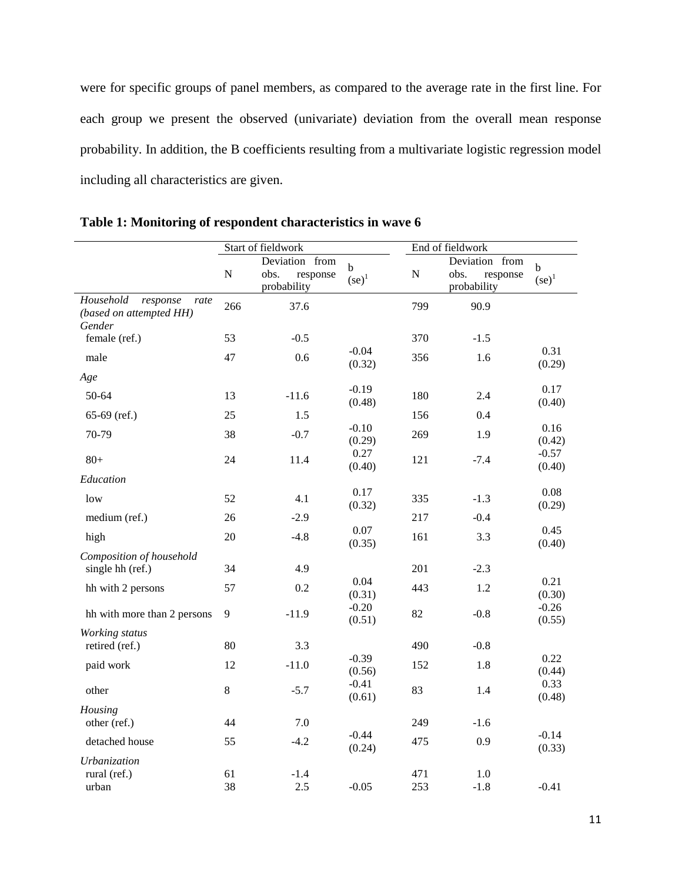were for specific groups of panel members, as compared to the average rate in the first line. For each group we present the observed (univariate) deviation from the overall mean response probability. In addition, the B coefficients resulting from a multivariate logistic regression model including all characteristics are given.

|                                                                    | Start of fieldwork |                                                   |                         | End of fieldwork |                                                   |                         |
|--------------------------------------------------------------------|--------------------|---------------------------------------------------|-------------------------|------------------|---------------------------------------------------|-------------------------|
|                                                                    | ${\bf N}$          | Deviation from<br>obs.<br>response<br>probability | $\mathbf b$<br>$(se)^1$ | ${\bf N}$        | Deviation from<br>obs.<br>response<br>probability | $\mathbf b$<br>$(se)^1$ |
| Household<br>response<br>rate<br>(based on attempted HH)<br>Gender | 266                | 37.6                                              |                         | 799              | 90.9                                              |                         |
| female (ref.)                                                      | 53                 | $-0.5$                                            |                         | 370              | $-1.5$                                            |                         |
| male                                                               | 47                 | 0.6                                               | $-0.04$<br>(0.32)       | 356              | 1.6                                               | 0.31<br>(0.29)          |
| Age                                                                |                    |                                                   |                         |                  |                                                   |                         |
| 50-64                                                              | 13                 | $-11.6$                                           | $-0.19$<br>(0.48)       | 180              | 2.4                                               | 0.17<br>(0.40)          |
| $65-69$ (ref.)                                                     | 25                 | 1.5                                               |                         | 156              | 0.4                                               |                         |
| 70-79                                                              | 38                 | $-0.7$                                            | $-0.10$<br>(0.29)       | 269              | 1.9                                               | 0.16<br>(0.42)          |
| $80 +$                                                             | 24                 | 11.4                                              | 0.27<br>(0.40)          | 121              | $-7.4$                                            | $-0.57$<br>(0.40)       |
| Education                                                          |                    |                                                   |                         |                  |                                                   |                         |
| low                                                                | 52                 | 4.1                                               | 0.17<br>(0.32)          | 335              | $-1.3$                                            | 0.08<br>(0.29)          |
| medium (ref.)                                                      | 26                 | $-2.9$                                            |                         | 217              | $-0.4$                                            |                         |
| high                                                               | 20                 | $-4.8$                                            | 0.07<br>(0.35)          | 161              | 3.3                                               | 0.45<br>(0.40)          |
| Composition of household                                           |                    |                                                   |                         |                  |                                                   |                         |
| single hh (ref.)                                                   | 34                 | 4.9                                               | 0.04                    | 201              | $-2.3$                                            | 0.21                    |
| hh with 2 persons                                                  | 57                 | 0.2                                               | (0.31)                  | 443              | 1.2                                               | (0.30)                  |
| hh with more than 2 persons                                        | 9                  | $-11.9$                                           | $-0.20$<br>(0.51)       | 82               | $-0.8$                                            | $-0.26$<br>(0.55)       |
| Working status<br>retired (ref.)                                   | 80                 | 3.3                                               |                         | 490              | $-0.8$                                            |                         |
| paid work                                                          | 12                 | $-11.0$                                           | $-0.39$<br>(0.56)       | 152              | 1.8                                               | 0.22<br>(0.44)          |
| other                                                              | 8                  | $-5.7$                                            | $-0.41$<br>(0.61)       | 83               | 1.4                                               | 0.33<br>(0.48)          |
| Housing                                                            |                    |                                                   |                         |                  |                                                   |                         |
| other (ref.)                                                       | 44                 | 7.0                                               |                         | 249              | $-1.6$                                            |                         |
| detached house                                                     | 55                 | $-4.2$                                            | $-0.44$<br>(0.24)       | 475              | 0.9                                               | $-0.14$<br>(0.33)       |
| Urbanization                                                       |                    |                                                   |                         |                  |                                                   |                         |
| rural (ref.)<br>urban                                              | 61<br>38           | $-1.4$<br>2.5                                     | $-0.05$                 | 471<br>253       | 1.0<br>$-1.8$                                     | $-0.41$                 |

**Table 1: Monitoring of respondent characteristics in wave 6**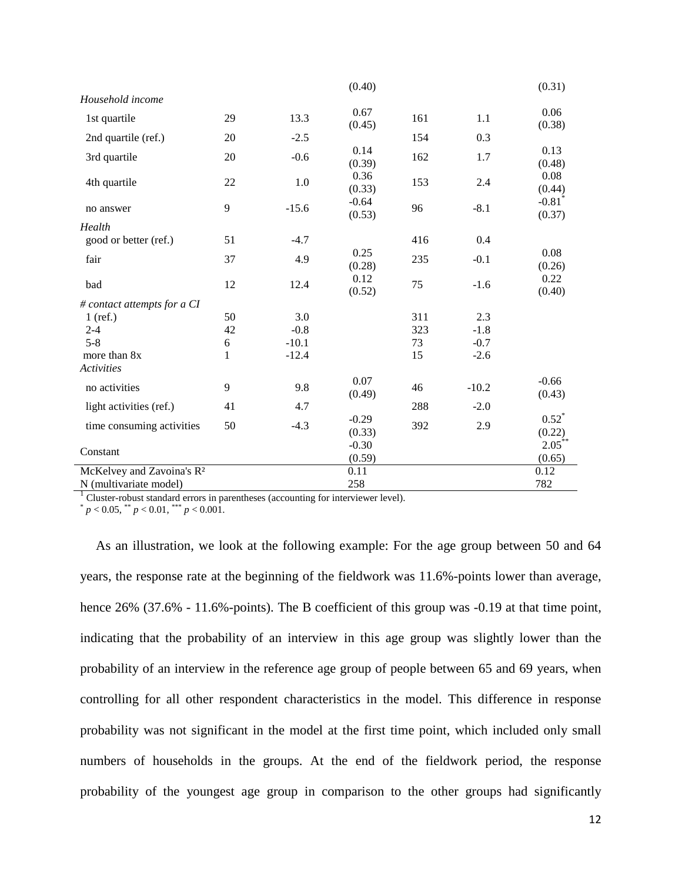|                                       |    |         | (0.40)            |     |         | (0.31)                         |
|---------------------------------------|----|---------|-------------------|-----|---------|--------------------------------|
| Household income                      |    |         |                   |     |         |                                |
| 1st quartile                          | 29 | 13.3    | 0.67<br>(0.45)    | 161 | 1.1     | 0.06<br>(0.38)                 |
| 2nd quartile (ref.)                   | 20 | $-2.5$  |                   | 154 | 0.3     |                                |
| 3rd quartile                          | 20 | $-0.6$  | 0.14<br>(0.39)    | 162 | 1.7     | 0.13<br>(0.48)                 |
| 4th quartile                          | 22 | 1.0     | 0.36<br>(0.33)    | 153 | 2.4     | 0.08<br>(0.44)                 |
| no answer                             | 9  | $-15.6$ | $-0.64$<br>(0.53) | 96  | $-8.1$  | $-0.81$ <sup>*</sup><br>(0.37) |
| Health                                |    |         |                   |     |         |                                |
| good or better (ref.)                 | 51 | $-4.7$  |                   | 416 | 0.4     |                                |
| fair                                  | 37 | 4.9     | 0.25<br>(0.28)    | 235 | $-0.1$  | 0.08<br>(0.26)                 |
| bad                                   | 12 | 12.4    | 0.12<br>(0.52)    | 75  | $-1.6$  | 0.22<br>(0.40)                 |
| # contact attempts for a CI           |    |         |                   |     |         |                                |
| $1$ (ref.)                            | 50 | 3.0     |                   | 311 | 2.3     |                                |
| $2 - 4$                               | 42 | $-0.8$  |                   | 323 | $-1.8$  |                                |
| $5 - 8$                               | 6  | $-10.1$ |                   | 73  | $-0.7$  |                                |
| more than 8x<br>Activities            | 1  | $-12.4$ |                   | 15  | $-2.6$  |                                |
| no activities                         | 9  | 9.8     | 0.07<br>(0.49)    | 46  | $-10.2$ | $-0.66$<br>(0.43)              |
| light activities (ref.)               | 41 | 4.7     |                   | 288 | $-2.0$  |                                |
| time consuming activities             | 50 | $-4.3$  | $-0.29$<br>(0.33) | 392 | 2.9     | $0.52^*$<br>(0.22)             |
| Constant                              |    |         | $-0.30$<br>(0.59) |     |         | $2.05***$<br>(0.65)            |
| McKelvey and Zavoina's R <sup>2</sup> |    |         | 0.11              |     |         | 0.12                           |
| N (multivariate model)                |    |         | 258               |     |         | 782                            |

<sup>1</sup> Cluster-robust standard errors in parentheses (accounting for interviewer level).

 $p < 0.05$ ,  $p < 0.01$ ,  $p < 0.001$ .

As an illustration, we look at the following example: For the age group between 50 and 64 years, the response rate at the beginning of the fieldwork was 11.6%-points lower than average, hence 26% (37.6% - 11.6%-points). The B coefficient of this group was -0.19 at that time point, indicating that the probability of an interview in this age group was slightly lower than the probability of an interview in the reference age group of people between 65 and 69 years, when controlling for all other respondent characteristics in the model. This difference in response probability was not significant in the model at the first time point, which included only small numbers of households in the groups. At the end of the fieldwork period, the response probability of the youngest age group in comparison to the other groups had significantly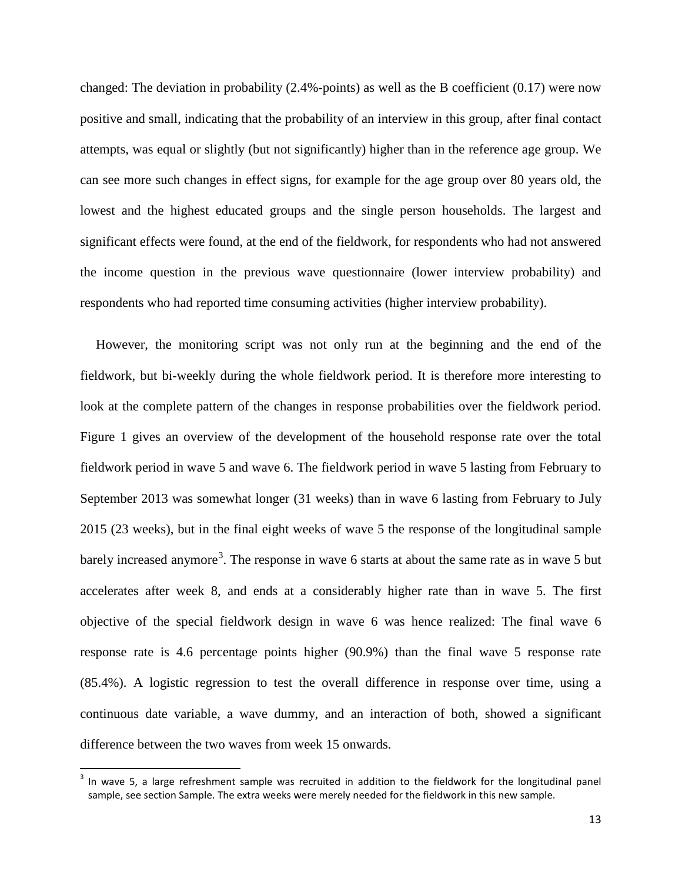changed: The deviation in probability (2.4%-points) as well as the B coefficient (0.17) were now positive and small, indicating that the probability of an interview in this group, after final contact attempts, was equal or slightly (but not significantly) higher than in the reference age group. We can see more such changes in effect signs, for example for the age group over 80 years old, the lowest and the highest educated groups and the single person households. The largest and significant effects were found, at the end of the fieldwork, for respondents who had not answered the income question in the previous wave questionnaire (lower interview probability) and respondents who had reported time consuming activities (higher interview probability).

However, the monitoring script was not only run at the beginning and the end of the fieldwork, but bi-weekly during the whole fieldwork period. It is therefore more interesting to look at the complete pattern of the changes in response probabilities over the fieldwork period. Figure 1 gives an overview of the development of the household response rate over the total fieldwork period in wave 5 and wave 6. The fieldwork period in wave 5 lasting from February to September 2013 was somewhat longer (31 weeks) than in wave 6 lasting from February to July 2015 (23 weeks), but in the final eight weeks of wave 5 the response of the longitudinal sample barely increased anymore<sup>[3](#page-14-0)</sup>. The response in wave 6 starts at about the same rate as in wave 5 but accelerates after week 8, and ends at a considerably higher rate than in wave 5. The first objective of the special fieldwork design in wave 6 was hence realized: The final wave 6 response rate is 4.6 percentage points higher (90.9%) than the final wave 5 response rate (85.4%). A logistic regression to test the overall difference in response over time, using a continuous date variable, a wave dummy, and an interaction of both, showed a significant difference between the two waves from week 15 onwards.

<span id="page-14-0"></span> $3$  In wave 5, a large refreshment sample was recruited in addition to the fieldwork for the longitudinal panel sample, see section Sample. The extra weeks were merely needed for the fieldwork in this new sample.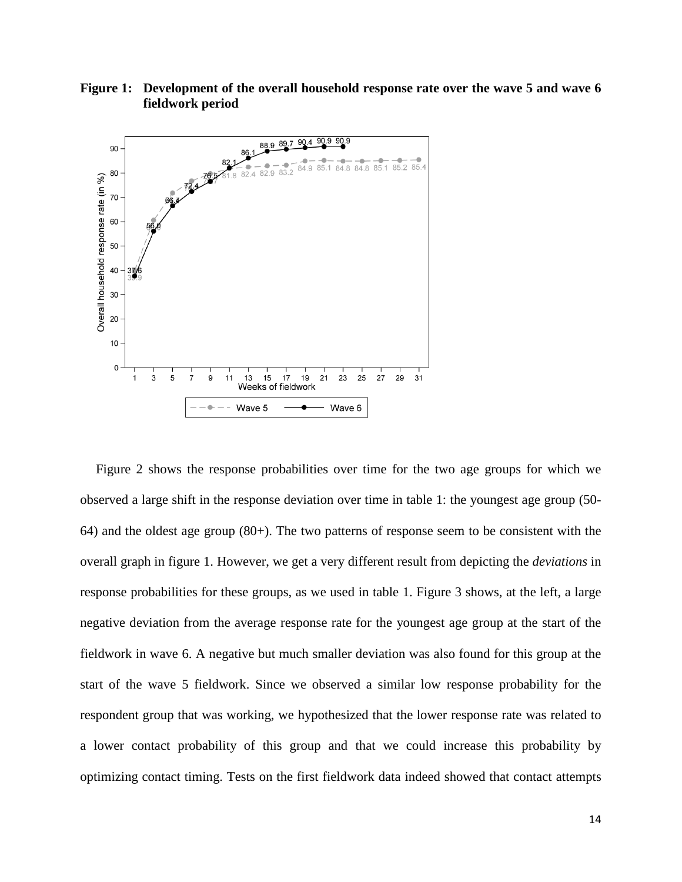



Figure 2 shows the response probabilities over time for the two age groups for which we observed a large shift in the response deviation over time in table 1: the youngest age group (50- 64) and the oldest age group (80+). The two patterns of response seem to be consistent with the overall graph in figure 1. However, we get a very different result from depicting the *deviations* in response probabilities for these groups, as we used in table 1. Figure 3 shows, at the left, a large negative deviation from the average response rate for the youngest age group at the start of the fieldwork in wave 6. A negative but much smaller deviation was also found for this group at the start of the wave 5 fieldwork. Since we observed a similar low response probability for the respondent group that was working, we hypothesized that the lower response rate was related to a lower contact probability of this group and that we could increase this probability by optimizing contact timing. Tests on the first fieldwork data indeed showed that contact attempts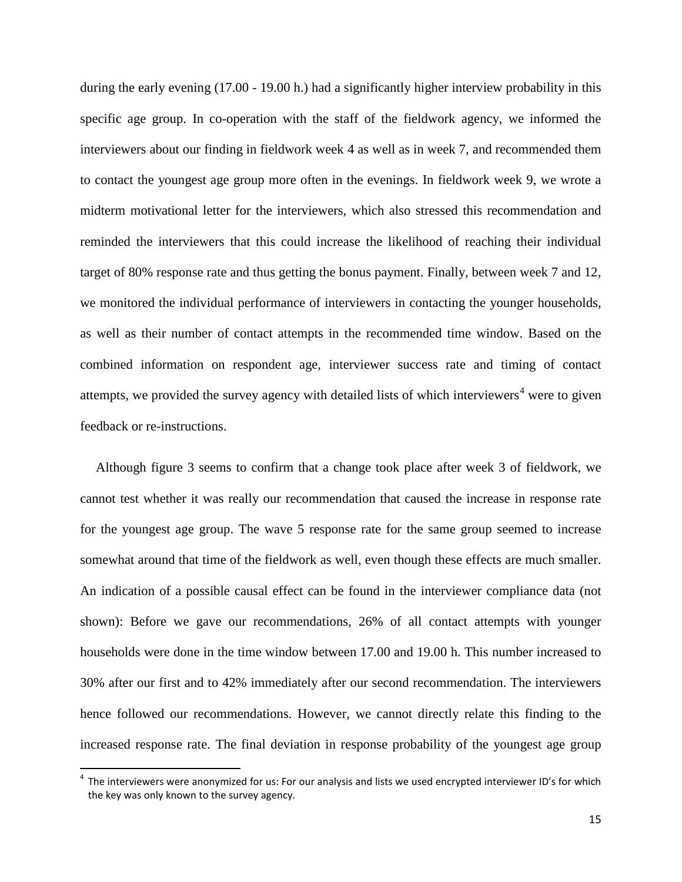during the early evening (17.00 - 19.00 h.) had a significantly higher interview probability in this specific age group. In co-operation with the staff of the fieldwork agency, we informed the interviewers about our finding in fieldwork week 4 as well as in week 7, and recommended them to contact the youngest age group more often in the evenings. In fieldwork week 9, we wrote a midterm motivational letter for the interviewers, which also stressed this recommendation and reminded the interviewers that this could increase the likelihood of reaching their individual target of 80% response rate and thus getting the bonus payment. Finally, between week 7 and 12, we monitored the individual performance of interviewers in contacting the younger households, as well as their number of contact attempts in the recommended time window. Based on the combined information on respondent age, interviewer success rate and timing of contact attempts, we provided the survey agency with detailed lists of which interviewers<sup>[4](#page-16-0)</sup> were to given feedback or re-instructions.

Although figure 3 seems to confirm that a change took place after week 3 of fieldwork, we cannot test whether it was really our recommendation that caused the increase in response rate for the youngest age group. The wave 5 response rate for the same group seemed to increase somewhat around that time of the fieldwork as well, even though these effects are much smaller. An indication of a possible causal effect can be found in the interviewer compliance data (not shown): Before we gave our recommendations, 26% of all contact attempts with younger households were done in the time window between 17.00 and 19.00 h. This number increased to 30% after our first and to 42% immediately after our second recommendation. The interviewers hence followed our recommendations. However, we cannot directly relate this finding to the increased response rate. The final deviation in response probability of the youngest age group

<span id="page-16-0"></span> $4$  The interviewers were anonymized for us: For our analysis and lists we used encrypted interviewer ID's for which the key was only known to the survey agency.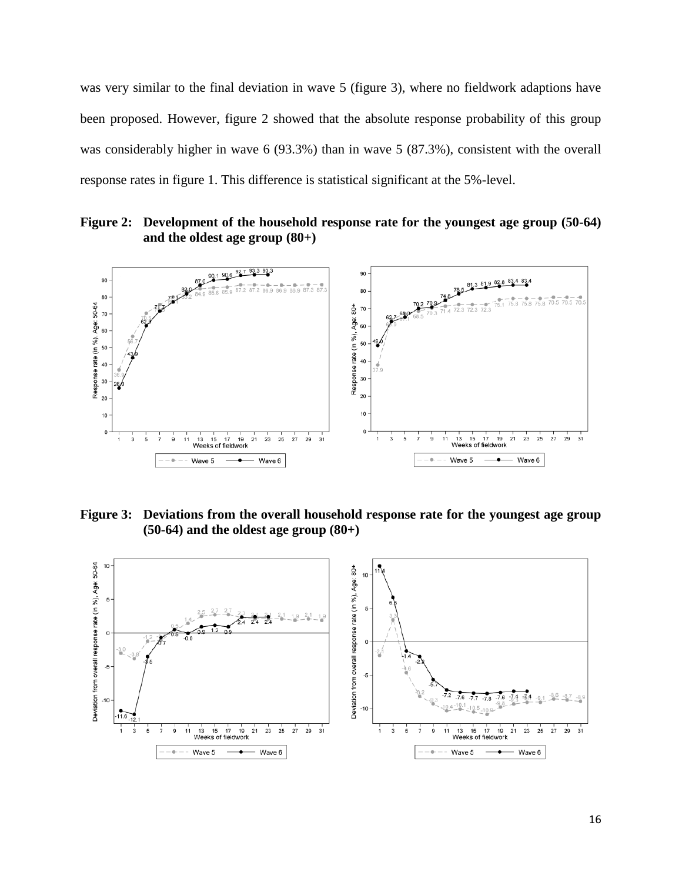was very similar to the final deviation in wave 5 (figure 3), where no fieldwork adaptions have been proposed. However, figure 2 showed that the absolute response probability of this group was considerably higher in wave 6 (93.3%) than in wave 5 (87.3%), consistent with the overall response rates in figure 1. This difference is statistical significant at the 5%-level.

**Figure 2: Development of the household response rate for the youngest age group (50-64) and the oldest age group (80+)**



**Figure 3: Deviations from the overall household response rate for the youngest age group (50-64) and the oldest age group (80+)**

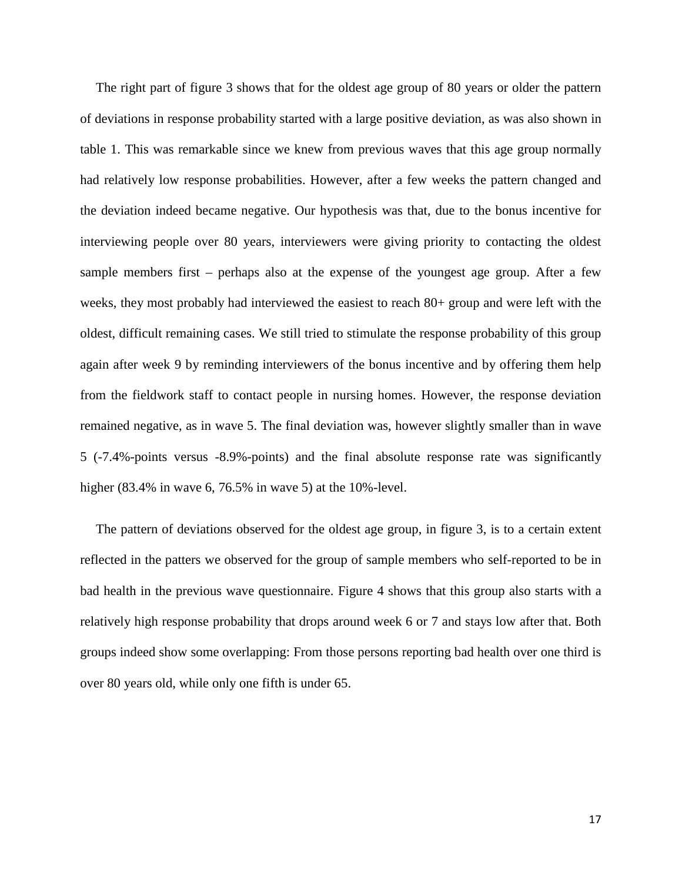The right part of figure 3 shows that for the oldest age group of 80 years or older the pattern of deviations in response probability started with a large positive deviation, as was also shown in table 1. This was remarkable since we knew from previous waves that this age group normally had relatively low response probabilities. However, after a few weeks the pattern changed and the deviation indeed became negative. Our hypothesis was that, due to the bonus incentive for interviewing people over 80 years, interviewers were giving priority to contacting the oldest sample members first – perhaps also at the expense of the youngest age group. After a few weeks, they most probably had interviewed the easiest to reach 80+ group and were left with the oldest, difficult remaining cases. We still tried to stimulate the response probability of this group again after week 9 by reminding interviewers of the bonus incentive and by offering them help from the fieldwork staff to contact people in nursing homes. However, the response deviation remained negative, as in wave 5. The final deviation was, however slightly smaller than in wave 5 (-7.4%-points versus -8.9%-points) and the final absolute response rate was significantly higher (83.4% in wave 6, 76.5% in wave 5) at the 10%-level.

The pattern of deviations observed for the oldest age group, in figure 3, is to a certain extent reflected in the patters we observed for the group of sample members who self-reported to be in bad health in the previous wave questionnaire. Figure 4 shows that this group also starts with a relatively high response probability that drops around week 6 or 7 and stays low after that. Both groups indeed show some overlapping: From those persons reporting bad health over one third is over 80 years old, while only one fifth is under 65.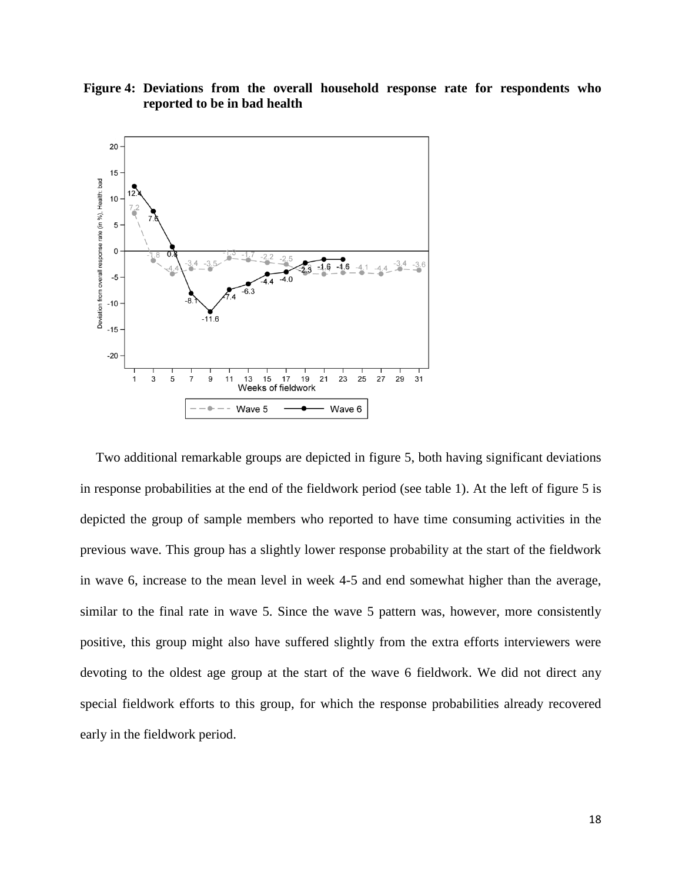**Figure 4: Deviations from the overall household response rate for respondents who reported to be in bad health**



Two additional remarkable groups are depicted in figure 5, both having significant deviations in response probabilities at the end of the fieldwork period (see table 1). At the left of figure 5 is depicted the group of sample members who reported to have time consuming activities in the previous wave. This group has a slightly lower response probability at the start of the fieldwork in wave 6, increase to the mean level in week 4-5 and end somewhat higher than the average, similar to the final rate in wave 5. Since the wave 5 pattern was, however, more consistently positive, this group might also have suffered slightly from the extra efforts interviewers were devoting to the oldest age group at the start of the wave 6 fieldwork. We did not direct any special fieldwork efforts to this group, for which the response probabilities already recovered early in the fieldwork period.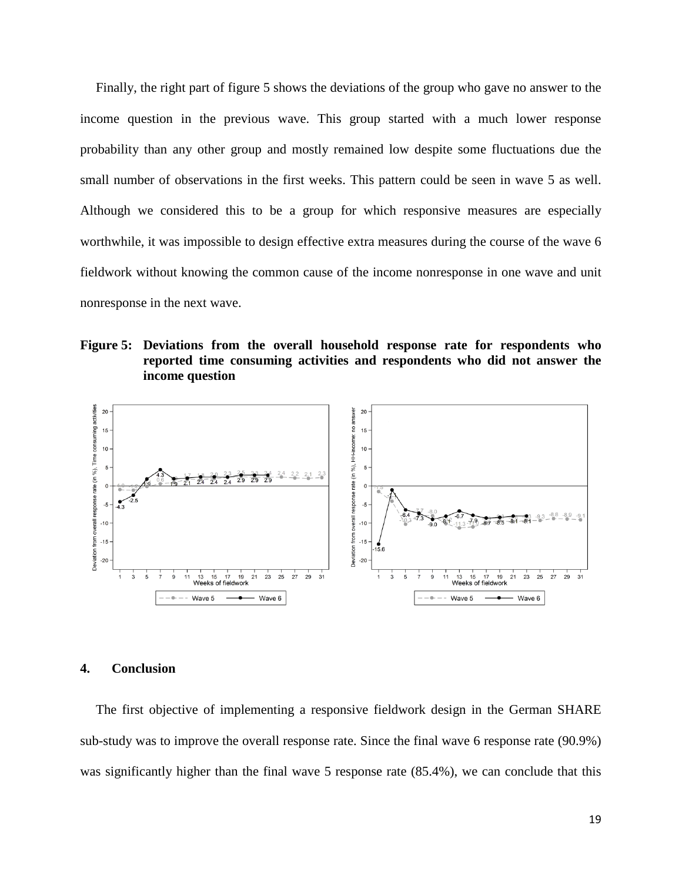Finally, the right part of figure 5 shows the deviations of the group who gave no answer to the income question in the previous wave. This group started with a much lower response probability than any other group and mostly remained low despite some fluctuations due the small number of observations in the first weeks. This pattern could be seen in wave 5 as well. Although we considered this to be a group for which responsive measures are especially worthwhile, it was impossible to design effective extra measures during the course of the wave 6 fieldwork without knowing the common cause of the income nonresponse in one wave and unit nonresponse in the next wave.

**Figure 5: Deviations from the overall household response rate for respondents who reported time consuming activities and respondents who did not answer the income question**



#### **4. Conclusion**

The first objective of implementing a responsive fieldwork design in the German SHARE sub-study was to improve the overall response rate. Since the final wave 6 response rate (90.9%) was significantly higher than the final wave 5 response rate (85.4%), we can conclude that this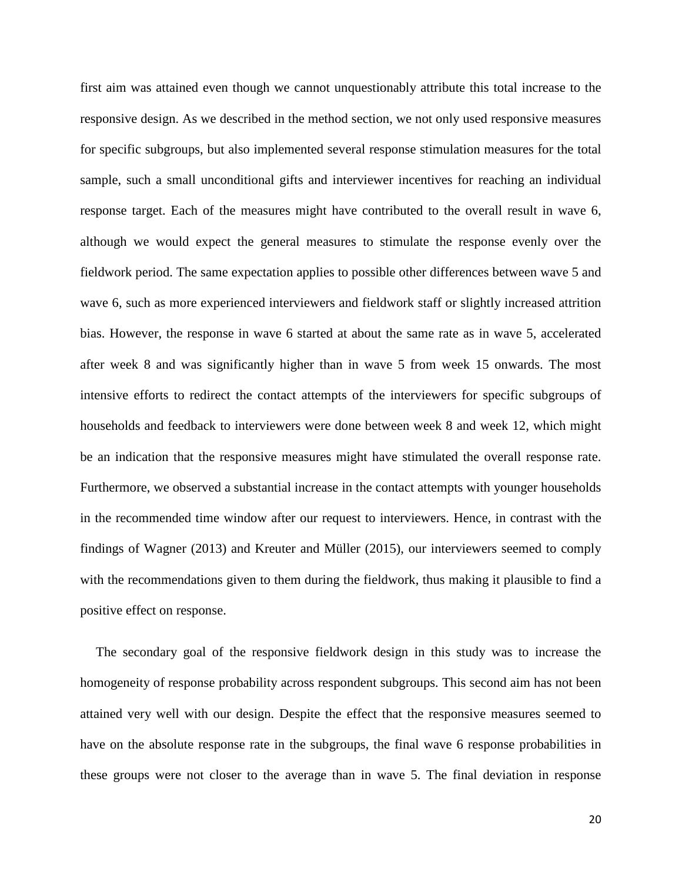first aim was attained even though we cannot unquestionably attribute this total increase to the responsive design. As we described in the method section, we not only used responsive measures for specific subgroups, but also implemented several response stimulation measures for the total sample, such a small unconditional gifts and interviewer incentives for reaching an individual response target. Each of the measures might have contributed to the overall result in wave 6, although we would expect the general measures to stimulate the response evenly over the fieldwork period. The same expectation applies to possible other differences between wave 5 and wave 6, such as more experienced interviewers and fieldwork staff or slightly increased attrition bias. However, the response in wave 6 started at about the same rate as in wave 5, accelerated after week 8 and was significantly higher than in wave 5 from week 15 onwards. The most intensive efforts to redirect the contact attempts of the interviewers for specific subgroups of households and feedback to interviewers were done between week 8 and week 12, which might be an indication that the responsive measures might have stimulated the overall response rate. Furthermore, we observed a substantial increase in the contact attempts with younger households in the recommended time window after our request to interviewers. Hence, in contrast with the findings of Wagner (2013) and Kreuter and Müller [\(2015\)](#page-25-6), our interviewers seemed to comply with the recommendations given to them during the fieldwork, thus making it plausible to find a positive effect on response.

The secondary goal of the responsive fieldwork design in this study was to increase the homogeneity of response probability across respondent subgroups. This second aim has not been attained very well with our design. Despite the effect that the responsive measures seemed to have on the absolute response rate in the subgroups, the final wave 6 response probabilities in these groups were not closer to the average than in wave 5. The final deviation in response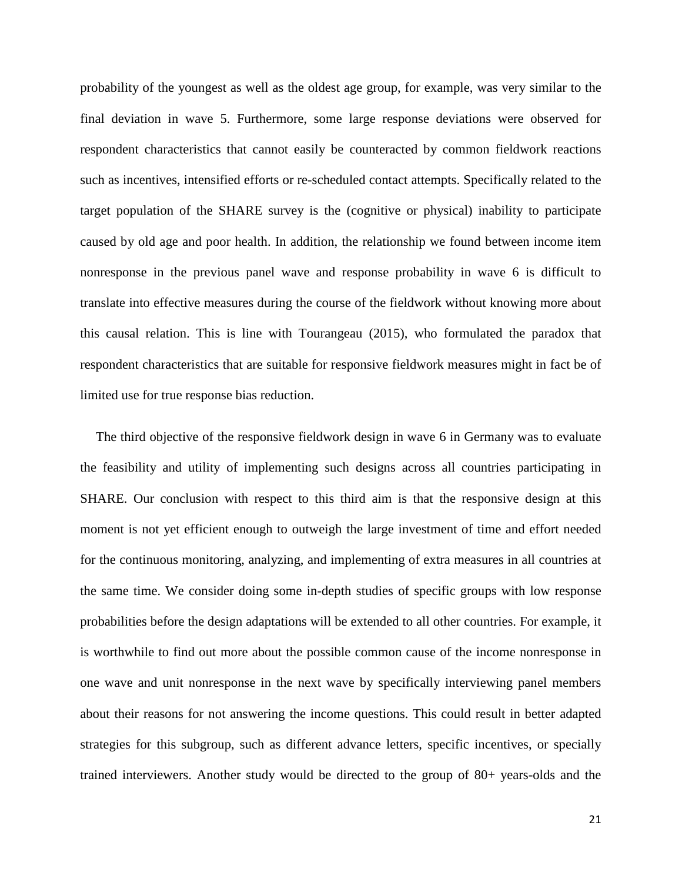probability of the youngest as well as the oldest age group, for example, was very similar to the final deviation in wave 5. Furthermore, some large response deviations were observed for respondent characteristics that cannot easily be counteracted by common fieldwork reactions such as incentives, intensified efforts or re-scheduled contact attempts. Specifically related to the target population of the SHARE survey is the (cognitive or physical) inability to participate caused by old age and poor health. In addition, the relationship we found between income item nonresponse in the previous panel wave and response probability in wave 6 is difficult to translate into effective measures during the course of the fieldwork without knowing more about this causal relation. This is line with Tourangeau [\(2015\)](#page-27-2), who formulated the paradox that respondent characteristics that are suitable for responsive fieldwork measures might in fact be of limited use for true response bias reduction.

The third objective of the responsive fieldwork design in wave 6 in Germany was to evaluate the feasibility and utility of implementing such designs across all countries participating in SHARE. Our conclusion with respect to this third aim is that the responsive design at this moment is not yet efficient enough to outweigh the large investment of time and effort needed for the continuous monitoring, analyzing, and implementing of extra measures in all countries at the same time. We consider doing some in-depth studies of specific groups with low response probabilities before the design adaptations will be extended to all other countries. For example, it is worthwhile to find out more about the possible common cause of the income nonresponse in one wave and unit nonresponse in the next wave by specifically interviewing panel members about their reasons for not answering the income questions. This could result in better adapted strategies for this subgroup, such as different advance letters, specific incentives, or specially trained interviewers. Another study would be directed to the group of 80+ years-olds and the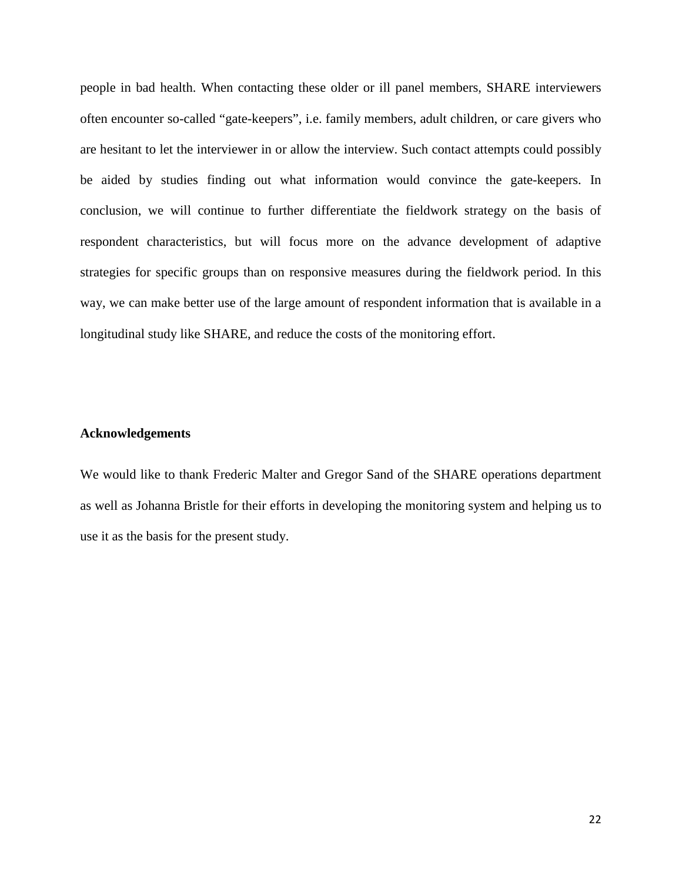people in bad health. When contacting these older or ill panel members, SHARE interviewers often encounter so-called "gate-keepers", i.e. family members, adult children, or care givers who are hesitant to let the interviewer in or allow the interview. Such contact attempts could possibly be aided by studies finding out what information would convince the gate-keepers. In conclusion, we will continue to further differentiate the fieldwork strategy on the basis of respondent characteristics, but will focus more on the advance development of adaptive strategies for specific groups than on responsive measures during the fieldwork period. In this way, we can make better use of the large amount of respondent information that is available in a longitudinal study like SHARE, and reduce the costs of the monitoring effort.

#### **Acknowledgements**

We would like to thank Frederic Malter and Gregor Sand of the SHARE operations department as well as Johanna Bristle for their efforts in developing the monitoring system and helping us to use it as the basis for the present study.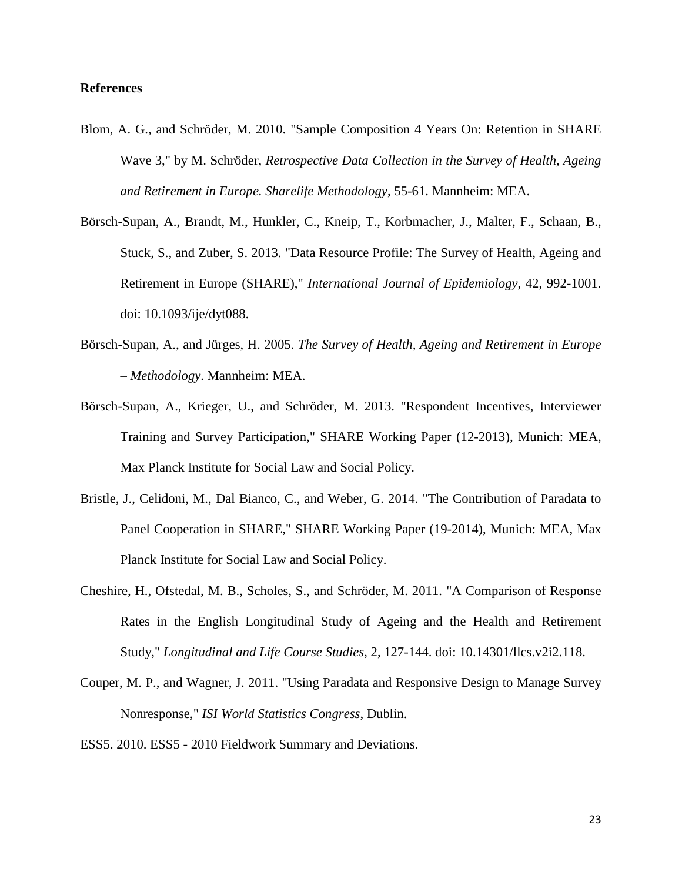#### **References**

- <span id="page-24-2"></span>Blom, A. G., and Schröder, M. 2010. "Sample Composition 4 Years On: Retention in SHARE Wave 3," by M. Schröder, *Retrospective Data Collection in the Survey of Health, Ageing and Retirement in Europe. Sharelife Methodology*, 55-61. Mannheim: MEA.
- <span id="page-24-1"></span>Börsch-Supan, A., Brandt, M., Hunkler, C., Kneip, T., Korbmacher, J., Malter, F., Schaan, B., Stuck, S., and Zuber, S. 2013. "Data Resource Profile: The Survey of Health, Ageing and Retirement in Europe (SHARE)," *International Journal of Epidemiology*, 42, 992-1001. doi: 10.1093/ije/dyt088.
- <span id="page-24-0"></span>Börsch-Supan, A., and Jürges, H. 2005. *The Survey of Health, Ageing and Retirement in Europe – Methodology*. Mannheim: MEA.
- <span id="page-24-3"></span>Börsch-Supan, A., Krieger, U., and Schröder, M. 2013. "Respondent Incentives, Interviewer Training and Survey Participation," SHARE Working Paper (12-2013), Munich: MEA, Max Planck Institute for Social Law and Social Policy.
- <span id="page-24-5"></span>Bristle, J., Celidoni, M., Dal Bianco, C., and Weber, G. 2014. "The Contribution of Paradata to Panel Cooperation in SHARE," SHARE Working Paper (19-2014), Munich: MEA, Max Planck Institute for Social Law and Social Policy.
- <span id="page-24-6"></span>Cheshire, H., Ofstedal, M. B., Scholes, S., and Schröder, M. 2011. "A Comparison of Response Rates in the English Longitudinal Study of Ageing and the Health and Retirement Study," *Longitudinal and Life Course Studies*, 2, 127-144. doi: 10.14301/llcs.v2i2.118.
- <span id="page-24-4"></span>Couper, M. P., and Wagner, J. 2011. "Using Paradata and Responsive Design to Manage Survey Nonresponse," *ISI World Statistics Congress*, Dublin.

<span id="page-24-7"></span>ESS5. 2010. ESS5 - 2010 Fieldwork Summary and Deviations.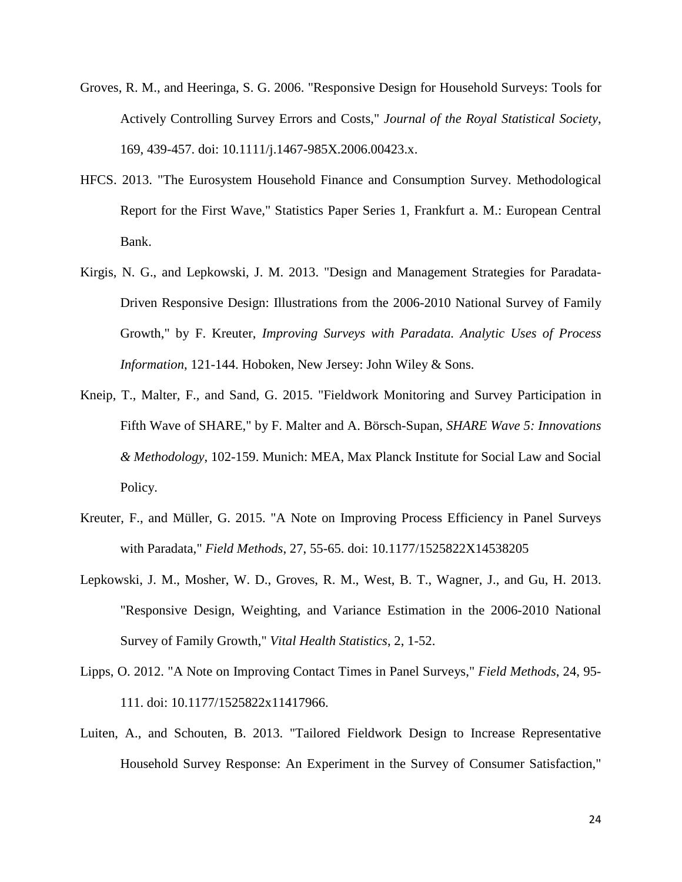- <span id="page-25-1"></span>Groves, R. M., and Heeringa, S. G. 2006. "Responsive Design for Household Surveys: Tools for Actively Controlling Survey Errors and Costs," *Journal of the Royal Statistical Society*, 169, 439-457. doi: 10.1111/j.1467-985X.2006.00423.x.
- <span id="page-25-7"></span>HFCS. 2013. "The Eurosystem Household Finance and Consumption Survey. Methodological Report for the First Wave," Statistics Paper Series 1, Frankfurt a. M.: European Central Bank.
- <span id="page-25-3"></span>Kirgis, N. G., and Lepkowski, J. M. 2013. "Design and Management Strategies for Paradata-Driven Responsive Design: Illustrations from the 2006-2010 National Survey of Family Growth," by F. Kreuter, *Improving Surveys with Paradata. Analytic Uses of Process Information*, 121-144. Hoboken, New Jersey: John Wiley & Sons.
- <span id="page-25-0"></span>Kneip, T., Malter, F., and Sand, G. 2015. "Fieldwork Monitoring and Survey Participation in Fifth Wave of SHARE," by F. Malter and A. Börsch-Supan, *SHARE Wave 5: Innovations & Methodology*, 102-159. Munich: MEA, Max Planck Institute for Social Law and Social Policy.
- <span id="page-25-6"></span>Kreuter, F., and Müller, G. 2015. "A Note on Improving Process Efficiency in Panel Surveys with Paradata," *Field Methods*, 27, 55-65. doi: 10.1177/1525822X14538205
- <span id="page-25-2"></span>Lepkowski, J. M., Mosher, W. D., Groves, R. M., West, B. T., Wagner, J., and Gu, H. 2013. "Responsive Design, Weighting, and Variance Estimation in the 2006-2010 National Survey of Family Growth," *Vital Health Statistics*, 2, 1-52.
- <span id="page-25-5"></span>Lipps, O. 2012. "A Note on Improving Contact Times in Panel Surveys," *Field Methods*, 24, 95- 111. doi: 10.1177/1525822x11417966.
- <span id="page-25-4"></span>Luiten, A., and Schouten, B. 2013. "Tailored Fieldwork Design to Increase Representative Household Survey Response: An Experiment in the Survey of Consumer Satisfaction,"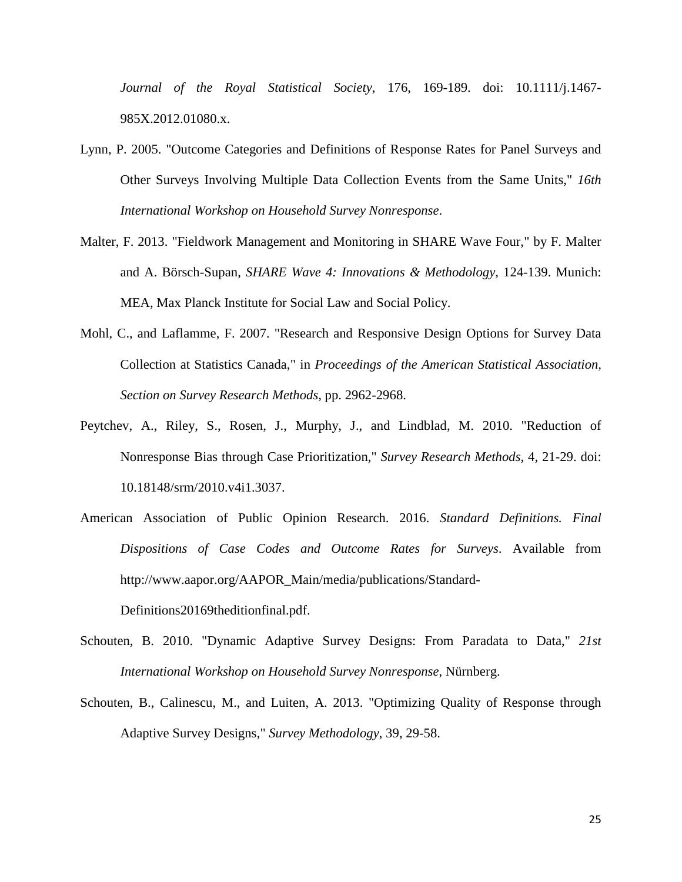*Journal of the Royal Statistical Society*, 176, 169-189. doi: 10.1111/j.1467- 985X.2012.01080.x.

- <span id="page-26-5"></span>Lynn, P. 2005. "Outcome Categories and Definitions of Response Rates for Panel Surveys and Other Surveys Involving Multiple Data Collection Events from the Same Units," *16th International Workshop on Household Survey Nonresponse*.
- <span id="page-26-0"></span>Malter, F. 2013. "Fieldwork Management and Monitoring in SHARE Wave Four," by F. Malter and A. Börsch-Supan, *SHARE Wave 4: Innovations & Methodology*, 124-139. Munich: MEA, Max Planck Institute for Social Law and Social Policy.
- <span id="page-26-3"></span>Mohl, C., and Laflamme, F. 2007. "Research and Responsive Design Options for Survey Data Collection at Statistics Canada," in *Proceedings of the American Statistical Association, Section on Survey Research Methods*, pp. 2962-2968.
- <span id="page-26-4"></span>Peytchev, A., Riley, S., Rosen, J., Murphy, J., and Lindblad, M. 2010. "Reduction of Nonresponse Bias through Case Prioritization," *Survey Research Methods*, 4, 21-29. doi: 10.18148/srm/2010.v4i1.3037.
- American Association of Public Opinion Research. 2016. *Standard Definitions. Final Dispositions of Case Codes and Outcome Rates for Surveys*. Available from http://www.aapor.org/AAPOR\_Main/media/publications/Standard-Definitions20169theditionfinal.pdf.

- <span id="page-26-1"></span>Schouten, B. 2010. "Dynamic Adaptive Survey Designs: From Paradata to Data," *21st International Workshop on Household Survey Nonresponse*, Nürnberg.
- <span id="page-26-2"></span>Schouten, B., Calinescu, M., and Luiten, A. 2013. "Optimizing Quality of Response through Adaptive Survey Designs," *Survey Methodology*, 39, 29-58.